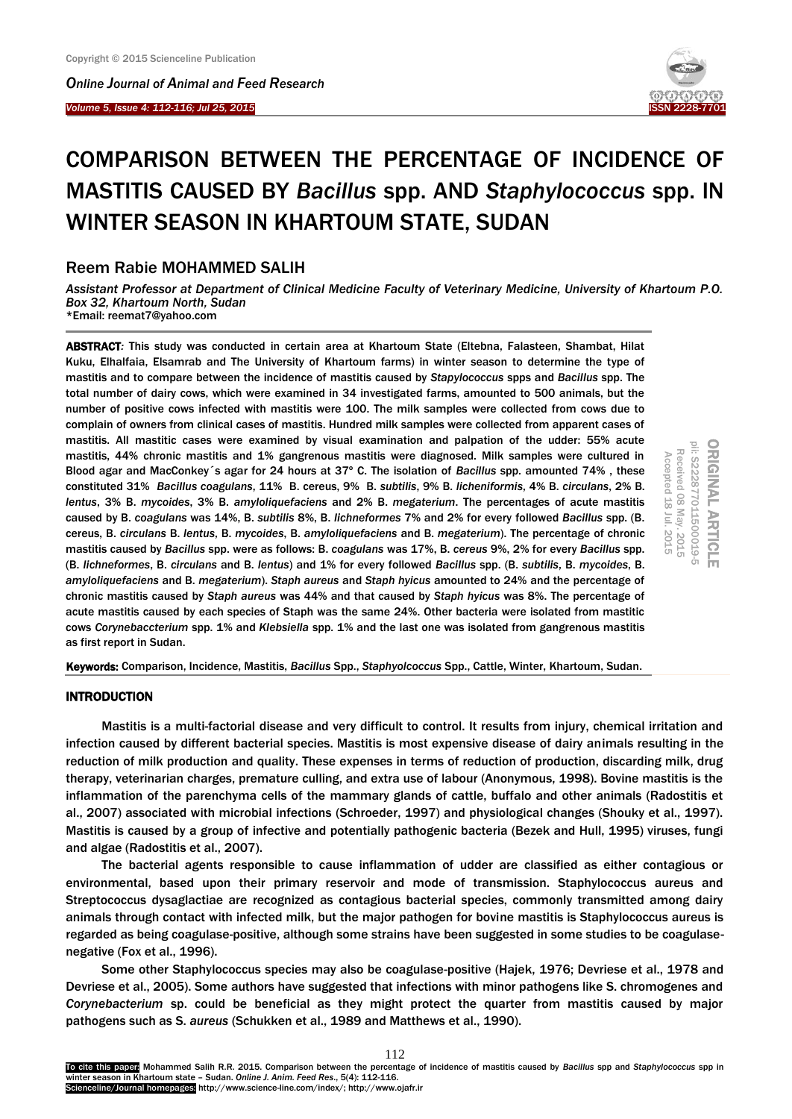I

*Online Journal of A[nimal and](http://www.ojafr.ir/main/) Feed Research Volume 5, Issue 4: 112-116; Jul 25, 2015* 



# COMPARISON BETWEEN THE PERCENTAGE OF INCIDENCE OF MASTITIS CAUSED BY *Bacillus* spp. AND *Staphylococcus* spp. IN WINTER SEASON IN KHARTOUM STATE, SUDAN

## Reem Rabie MOHAMMED SALIH

*Assistant Professor at Department of Clinical Medicine Faculty of Veterinary Medicine, University of Khartoum P.O. Box 32, Khartoum North, Sudan* \*Email: reemat7@yahoo.com

ABSTRACT*:* This study was conducted in certain area at Khartoum State (Eltebna, Falasteen, Shambat, Hilat Kuku, Elhalfaia, Elsamrab and The University of Khartoum farms) in winter season to determine the type of mastitis and to compare between the incidence of mastitis caused by *Stapylococcus* spps and *Bacillus* spp. The total number of dairy cows, which were examined in 34 investigated farms, amounted to 500 animals, but the number of positive cows infected with mastitis were 100. The milk samples were collected from cows due to complain of owners from clinical cases of mastitis. Hundred milk samples were collected from apparent cases of mastitis. All mastitic cases were examined by visual examination and palpation of the udder: 55% acute mastitis, 44% chronic mastitis and 1% gangrenous mastitis were diagnosed. Milk samples were cultured in Blood agar and MacConkey´s agar for 24 hours at 37º C. The isolation of *Bacillus* spp. amounted 74% , these constituted 31% *Bacillus coagulans*, 11% B. cereus, 9% B. *subtilis*, 9% B. *licheniformis*, 4% B. *circulans*, 2% B. *lentus*, 3% B. *mycoides*, 3% B. *amyloliquefaciens* and 2% B. *megaterium*. The percentages of acute mastitis caused by B. *coagulans* was 14%, B. *subtilis* 8%, B. *lichneformes* 7% and 2% for every followed *Bacillus* spp. (B. cereus, B. *circulans* B. *lentus*, B. *mycoides*, B. *amyloliquefaciens* and B. *megaterium*). The percentage of chronic mastitis caused by *Bacillus* spp. were as follows: B. *coagulans* was 17%, B. *cereus* 9%, 2% for every *Bacillus* spp. (B. *lichneformes*, B. *circulans* and B. *lentus*) and 1% for every followed *Bacillus* spp. (B. *subtilis*, B. *mycoides*, B. *amyloliquefaciens* and B. *megaterium*). *Staph aureus* and *Staph hyicus* amounted to 24% and the percentage of chronic mastitis caused by *Staph aureus* was 44% and that caused by *Staph hyicus* was 8%. The percentage of acute mastitis caused by each species of Staph was the same 24%. Other bacteria were isolated from mastitic cows *Corynebaccterium* spp. 1% and *Klebsiella* spp. 1% and the last one was isolated from gangrenous mastitis as first report in Sudan.

ORIGINAL ARTICLE<br>pii: S22877011500019-5 Received 08 May. 2015 Received 08 Accepted 18 Accepted 118 Jul. May. 2015 Jul. 2015 2015

Keywords: Comparison, Incidence, Mastitis, *Bacillus* Spp., *Staphyolcoccus* Spp., Cattle, Winter, Khartoum, Sudan.

### **INTRODUCTION**

Mastitis is a multi-factorial disease and very difficult to control. It results from injury, chemical irritation and infection caused by different bacterial species. Mastitis is most expensive disease of dairy animals resulting in the reduction of milk production and quality. These expenses in terms of reduction of production, discarding milk, drug therapy, veterinarian charges, premature culling, and extra use of labour (Anonymous, 1998). Bovine mastitis is the inflammation of the parenchyma cells of the mammary glands of cattle, buffalo and other animals (Radostitis et al., 2007) associated with microbial infections (Schroeder, 1997) and physiological changes (Shouky et al., 1997). Mastitis is caused by a group of infective and potentially pathogenic bacteria (Bezek and Hull, 1995) viruses, fungi and algae (Radostitis et al., 2007).

The bacterial agents responsible to cause inflammation of udder are classified as either contagious or environmental, based upon their primary reservoir and mode of transmission. Staphylococcus aureus and Streptococcus dysaglactiae are recognized as contagious bacterial species, commonly transmitted among dairy animals through contact with infected milk, but the major pathogen for bovine mastitis is Staphylococcus aureus is regarded as being coagulase-positive, although some strains have been suggested in some studies to be coagulasenegative (Fox et al., 1996).

Some other Staphylococcus species may also be coagulase-positive (Hajek, 1976; Devriese et al., 1978 and Devriese et al., 2005). Some authors have suggested that infections with minor pathogens like S. chromogenes and *Corynebacterium* sp. could be beneficial as they might protect the quarter from mastitis caused by major pathogens such as S. *aureus* (Schukken et al., 1989 and Matthews et al., 1990).

To cite this paper: Mohammed Salih R.R. 2015. Comparison between the percentage of incidence of mastitis caused by *Bacillus* spp and *Staphylococcus* spp in winter season in Khartoum state – Sudan. *Online J. Anim. Feed Res*., 5(4): 112-116. Scienceline/Journal homepages: http://www.science-line.com/index/; http://www.ojafr.ir

112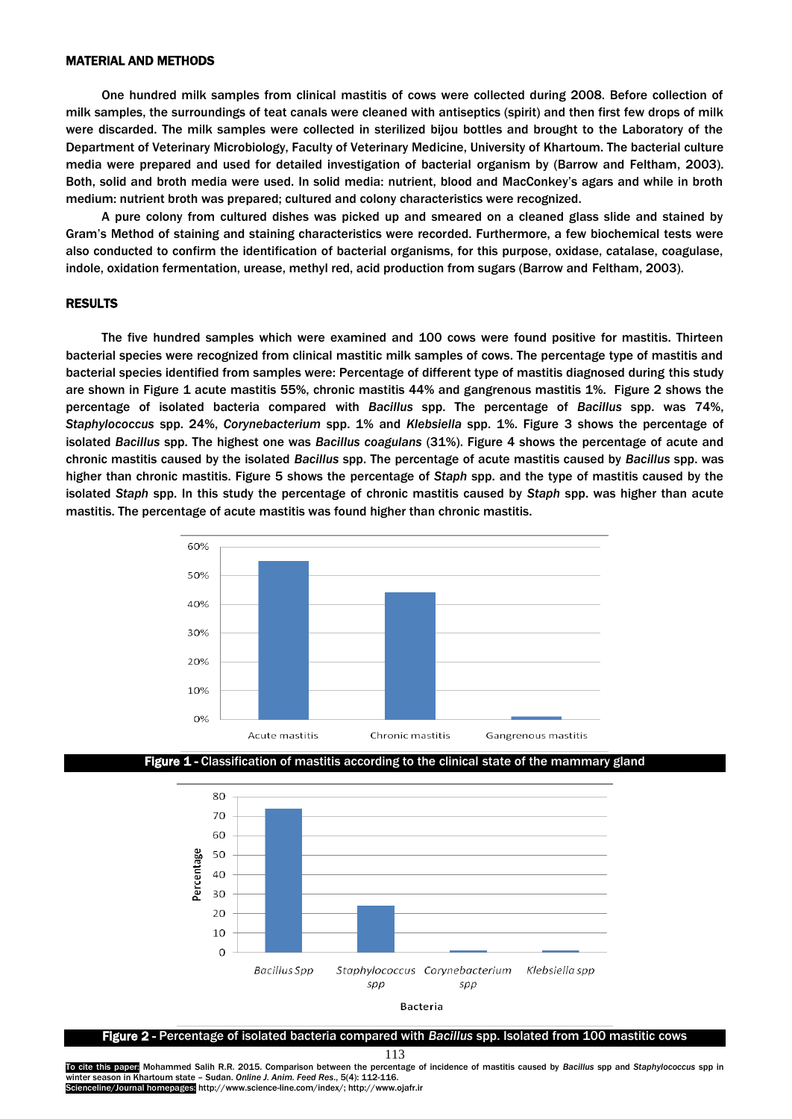#### MATERIAL AND METHODS

One hundred milk samples from clinical mastitis of cows were collected during 2008. Before collection of milk samples, the surroundings of teat canals were cleaned with antiseptics (spirit) and then first few drops of milk were discarded. The milk samples were collected in sterilized bijou bottles and brought to the Laboratory of the Department of Veterinary Microbiology, Faculty of Veterinary Medicine, University of Khartoum. The bacterial culture media were prepared and used for detailed investigation of bacterial organism by (Barrow and Feltham, 2003). Both, solid and broth media were used. In solid media: nutrient, blood and MacConkey's agars and while in broth medium: nutrient broth was prepared; cultured and colony characteristics were recognized.

A pure colony from cultured dishes was picked up and smeared on a cleaned glass slide and stained by Gram's Method of staining and staining characteristics were recorded. Furthermore, a few biochemical tests were also conducted to confirm the identification of bacterial organisms, for this purpose, oxidase, catalase, coagulase, indole, oxidation fermentation, urease, methyl red, acid production from sugars (Barrow and Feltham, 2003).

#### RESULTS

The five hundred samples which were examined and 100 cows were found positive for mastitis. Thirteen bacterial species were recognized from clinical mastitic milk samples of cows. The percentage type of mastitis and bacterial species identified from samples were: Percentage of different type of mastitis diagnosed during this study are shown in Figure 1 acute mastitis 55%, chronic mastitis 44% and gangrenous mastitis 1%. Figure 2 shows the percentage of isolated bacteria compared with *Bacillus* spp. The percentage of *Bacillus* spp. was 74%, *Staphylococcus* spp. 24%, *Corynebacterium* spp. 1% and *Klebsiella* spp. 1%. Figure 3 shows the percentage of isolated *Bacillus* spp. The highest one was *Bacillus coagulans* (31%). Figure 4 shows the percentage of acute and chronic mastitis caused by the isolated *Bacillus* spp. The percentage of acute mastitis caused by *Bacillus* spp. was higher than chronic mastitis. Figure 5 shows the percentage of *Staph* spp. and the type of mastitis caused by the isolated *Staph* spp. In this study the percentage of chronic mastitis caused by *Staph* spp. was higher than acute mastitis. The percentage of acute mastitis was found higher than chronic mastitis.



Figure 1 - Classification of mastitis according to the clinical state of the mammary gland





Figure 2 - Percentage of isolated bacteria compared with *Bacillus* spp. Isolated from 100 mastitic cows

113

To cite this paper: Mohammed Salih R.R. 2015. Comparison between the percentage of incidence of mastitis caused by *Bacillus* spp and *Staphylococcus* spp in winter season in Khartoum state – Sudan. *Online J. Anim. Feed Res*., 5(4): 112-116. Scienceline/Journal homepages: http://www.science-line.com/index/; http://www.ojafr.ir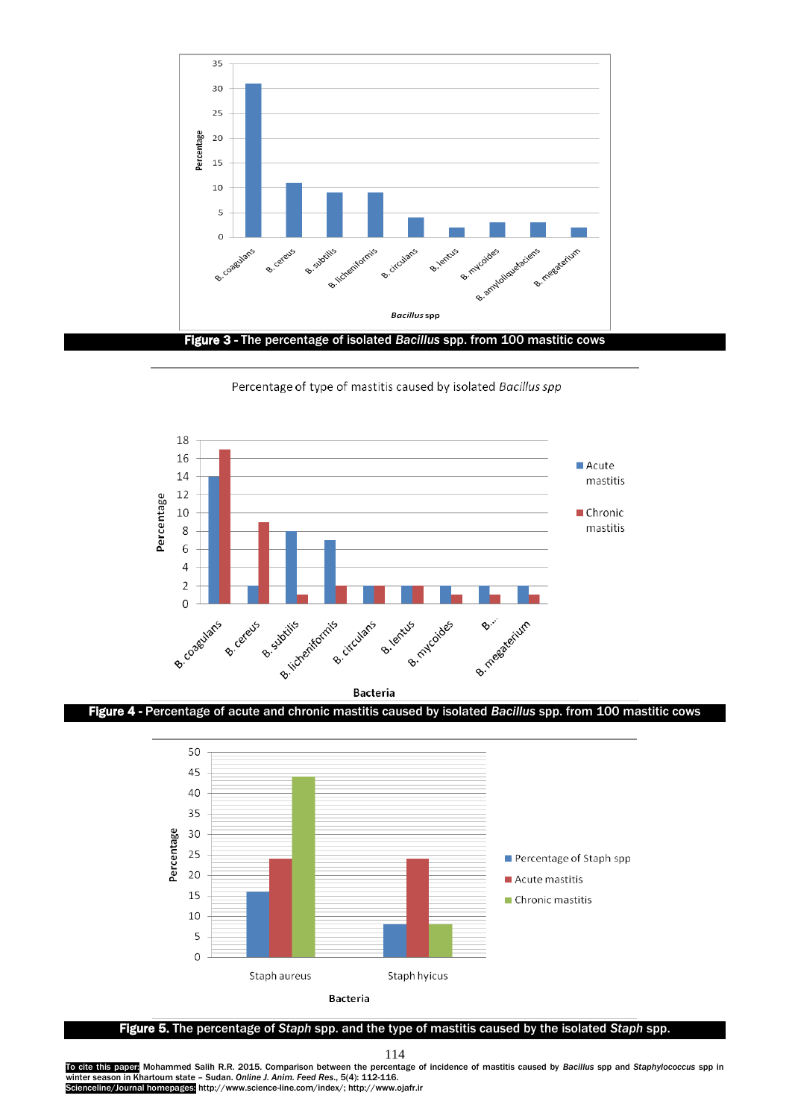

Percentage of type of mastitis caused by isolated Bacillus spp



Figure 4 - Percentage of acute and chronic mastitis caused by isolated *Bacillus* spp. from 100 mastitic cows



Figure 5. The percentage of *Staph* spp. and the type of mastitis caused by the isolated *Staph* spp.

114

To cite this paper: Mohammed Salih R.R. 2015. Comparison between the percentage of incidence of mastitis caused by *Bacillus* spp and *Staphylococcus* spp in winter season in Khartoum state – Sudan. *Online J. Anim. Feed Res*., 5(4): 112-116. Scienceline/Journal homepages: http://www.science-line.com/index/; http://www.ojafr.ir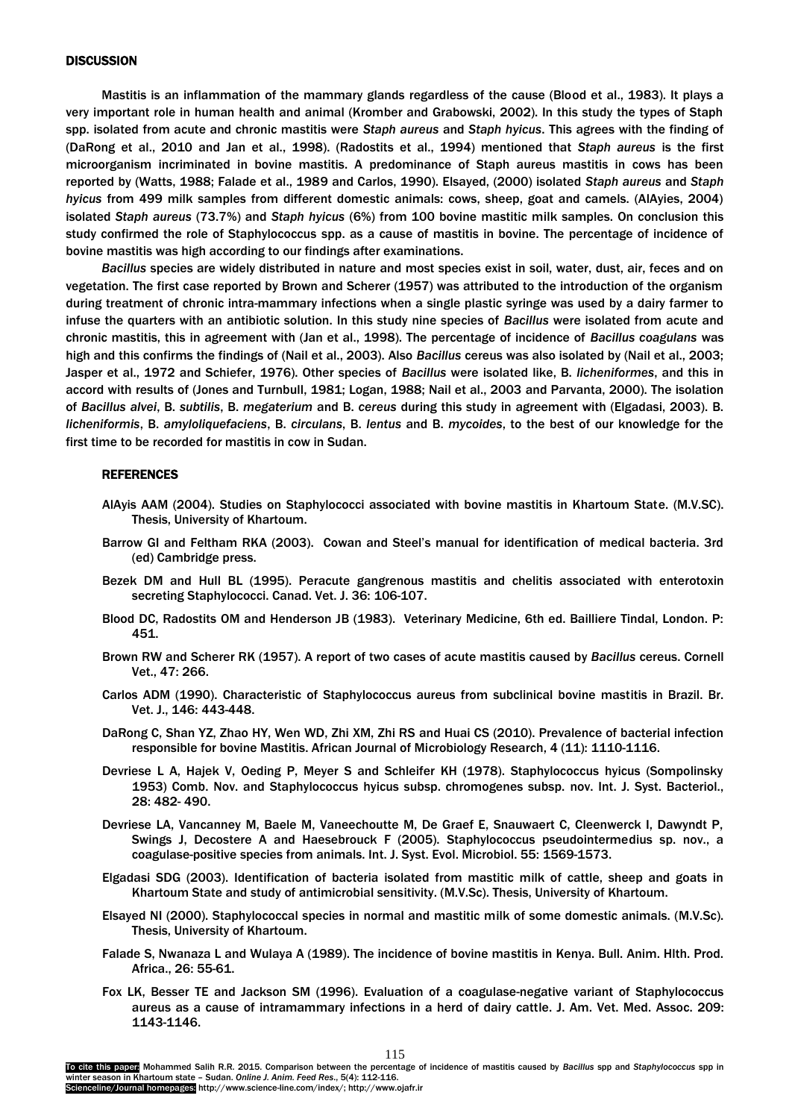#### **DISCUSSION**

Mastitis is an inflammation of the mammary glands regardless of the cause (Blood et al., 1983). It plays a very important role in human health and animal (Kromber and Grabowski, 2002). In this study the types of Staph spp. isolated from acute and chronic mastitis were *Staph aureus* and *Staph hyicus*. This agrees with the finding of (DaRong et al., 2010 and Jan et al., 1998). (Radostits et al., 1994) mentioned that *Staph aureus* is the first microorganism incriminated in bovine mastitis. A predominance of Staph aureus mastitis in cows has been reported by (Watts, 1988; Falade et al., 1989 and Carlos, 1990). Elsayed, (2000) isolated *Staph aureus* and *Staph hyicus* from 499 milk samples from different domestic animals: cows, sheep, goat and camels. (AlAyies, 2004) isolated *Staph aureus* (73.7%) and *Staph hyicus* (6%) from 100 bovine mastitic milk samples. On conclusion this study confirmed the role of Staphylococcus spp. as a cause of mastitis in bovine. The percentage of incidence of bovine mastitis was high according to our findings after examinations.

*Bacillus* species are widely distributed in nature and most species exist in soil, water, dust, air, feces and on vegetation. The first case reported by Brown and Scherer (1957) was attributed to the introduction of the organism during treatment of chronic intra-mammary infections when a single plastic syringe was used by a dairy farmer to infuse the quarters with an antibiotic solution. In this study nine species of *Bacillus* were isolated from acute and chronic mastitis, this in agreement with (Jan et al., 1998). The percentage of incidence of *Bacillus coagulans* was high and this confirms the findings of (Nail et al., 2003). Also *Bacillus* cereus was also isolated by (Nail et al., 2003; Jasper et al., 1972 and Schiefer, 1976). Other species of *Bacillus* were isolated like, B. *licheniformes*, and this in accord with results of (Jones and Turnbull, 1981; Logan, 1988; Nail et al., 2003 and Parvanta, 2000). The isolation of *Bacillus alvei*, B. *subtilis*, B. *megaterium* and B. *cereus* during this study in agreement with (Elgadasi, 2003). B. *licheniformis*, B. *amyloliquefaciens*, B. *circulans*, B. *lentus* and B. *mycoides*, to the best of our knowledge for the first time to be recorded for mastitis in cow in Sudan.

#### REFERENCES

- AlAyis AAM (2004). Studies on Staphylococci associated with bovine mastitis in Khartoum State. (M.V.SC). Thesis, University of Khartoum.
- Barrow GI and Feltham RKA (2003). Cowan and Steel's manual for identification of medical bacteria. 3rd (ed) Cambridge press.
- Bezek DM and Hull BL (1995). Peracute gangrenous mastitis and chelitis associated with enterotoxin secreting Staphylococci. Canad. Vet. J. 36: 106-107.
- Blood DC, Radostits OM and Henderson JB (1983). Veterinary Medicine, 6th ed. Bailliere Tindal, London. P: 451.
- Brown RW and Scherer RK (1957). A report of two cases of acute mastitis caused by *Bacillus* cereus. Cornell Vet., 47: 266.
- Carlos ADM (1990). Characteristic of Staphylococcus aureus from subclinical bovine mastitis in Brazil. Br. Vet. J., 146: 443-448.
- DaRong C, Shan YZ, Zhao HY, Wen WD, Zhi XM, Zhi RS and Huai CS (2010). Prevalence of bacterial infection responsible for bovine Mastitis. African Journal of Microbiology Research, 4 (11): 1110-1116.
- Devriese L A, Hajek V, Oeding P, Meyer S and Schleifer KH (1978). Staphylococcus hyicus (Sompolinsky 1953) Comb. Nov. and Staphylococcus hyicus subsp. chromogenes subsp. nov. Int. J. Syst. Bacteriol., 28: 482- 490.
- Devriese LA, Vancanney M, Baele M, Vaneechoutte M, De Graef E, Snauwaert C, Cleenwerck I, Dawyndt P, Swings J, Decostere A and Haesebrouck F (2005). Staphylococcus pseudointermedius sp. nov., a coagulase-positive species from animals. Int. J. Syst. Evol. Microbiol. 55: 1569-1573.
- Elgadasi SDG (2003). Identification of bacteria isolated from mastitic milk of cattle, sheep and goats in Khartoum State and study of antimicrobial sensitivity. (M.V.Sc). Thesis, University of Khartoum.
- Elsayed NI (2000). Staphylococcal species in normal and mastitic milk of some domestic animals. (M.V.Sc). Thesis, University of Khartoum.
- Falade S, Nwanaza L and Wulaya A (1989). The incidence of bovine mastitis in Kenya. Bull. Anim. Hlth. Prod. Africa., 26: 55-61.
- Fox LK, Besser TE and Jackson SM (1996). Evaluation of a coagulase-negative variant of Staphylococcus aureus as a cause of intramammary infections in a herd of dairy cattle. J. Am. Vet. Med. Assoc. 209: 1143-1146.